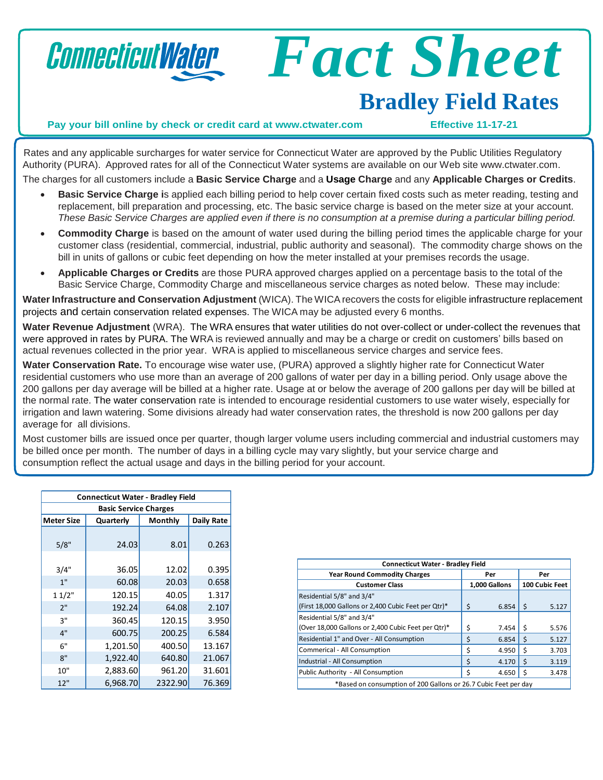

*Fact Sheet*

## **Bradley Field Rates**

**Pay your bill online by check or credit card at [www.ctwater.com](http://www.ctwater.com/) Effective 11-17-21**

Rates and any applicable surcharges for water service for Connecticut Water are approved by the Public Utilities Regulatory Authority (PURA). Approved rates for all of the Connecticut Water systems are available on our Web site [www.ctwater.com.](http://www.ctwater.com/) The charges for all customers include a **Basic Service Charge** and a **Usage Charge** and any **Applicable Charges or Credits**.

- **Basic Service Charge i**s applied each billing period to help cover certain fixed costs such as meter reading, testing and
- replacement, bill preparation and processing, etc. The basic service charge is based on the meter size at your account. These Basic Service Charges are applied even if there is no consumption at a premise during a particular billing period.
- **Commodity Charge** is based on the amount of water used during the billing period times the applicable charge for your customer class (residential, commercial, industrial, public authority and seasonal). The commodity charge shows on the bill in units of gallons or cubic feet depending on how the meter installed at your premises records the usage.
- **Applicable Charges or Credits** are those PURA approved charges applied on a percentage basis to the total of the Basic Service Charge, Commodity Charge and miscellaneous service charges as noted below. These may include:

**Water Infrastructure and Conservation Adjustment** (WICA). The WICArecovers the costs for eligible infrastructure replacement projects and certain conservation related expenses. The WICA may be adjusted every 6 months.

**Water Revenue Adjustment** (WRA). The WRA ensures that water utilities do not over-collect or under-collect the revenues that were approved in rates by PURA. The WRA is reviewed annually and may be a charge or credit on customers' bills based on actual revenues collected in the prior year. WRA is applied to miscellaneous service charges and service fees.

**Water Conservation Rate.** To encourage wise water use, (PURA) approved a slightly higher rate for Connecticut Water residential customers who use more than an average of 200 gallons of water per day in a billing period. Only usage above the 200 gallons per day average will be billed at a higher rate. Usage at or below the average of 200 gallons per day will be billed at the normal rate. The water conservation rate is intended to encourage residential customers to use water wisely, especially for irrigation and lawn watering. Some divisions already had water conservation rates, the threshold is now 200 gallons per day average for all divisions.

Most customer bills are issued once per quarter, though larger volume users including commercial and industrial customers may be billed once per month. The number of days in a billing cycle may vary slightly, but your service charge and consumption reflect the actual usage and days in the billing period for your account.

| <b>Connecticut Water - Bradley Field</b> |           |         |            |  |  |  |
|------------------------------------------|-----------|---------|------------|--|--|--|
| <b>Basic Service Charges</b>             |           |         |            |  |  |  |
| Meter Size                               | Quarterly | Monthly | Daily Rate |  |  |  |
|                                          |           |         |            |  |  |  |
| 5/8"                                     | 24.03     | 8.01    | 0.263      |  |  |  |
|                                          |           |         |            |  |  |  |
| 3/4"                                     | 36.05     | 12.02   | 0.395      |  |  |  |
| 1"                                       | 60.08     | 20.03   | 0.658      |  |  |  |
| 11/2"                                    | 120.15    | 40.05   | 1.317      |  |  |  |
| 2"                                       | 192.24    | 64.08   | 2.107      |  |  |  |
| 3"                                       | 360.45    | 120.15  | 3.950      |  |  |  |
| 4"                                       | 600.75    | 200.25  | 6.584      |  |  |  |
| 6"                                       | 1,201.50  | 400.50  | 13.167     |  |  |  |
| 8"                                       | 1,922.40  | 640.80  | 21.067     |  |  |  |
| 10"                                      | 2,883.60  | 961.20  | 31.601     |  |  |  |
| 12"                                      | 6,968.70  | 2322.90 | 76.369     |  |  |  |

| <b>Connecticut Water - Bradley Field</b>                        |             |               |         |                |  |
|-----------------------------------------------------------------|-------------|---------------|---------|----------------|--|
| <b>Year Round Commodity Charges</b>                             |             | Per           |         | Per            |  |
| <b>Customer Class</b>                                           |             | 1,000 Gallons |         | 100 Cubic Feet |  |
| Residential 5/8" and 3/4"                                       |             |               |         |                |  |
| (First 18,000 Gallons or 2,400 Cubic Feet per Qtr)*             | Ś           | 6.854         | -Ś      | 5.127          |  |
| Residential 5/8" and 3/4"                                       |             |               |         |                |  |
| (Over 18,000 Gallons or 2,400 Cubic Feet per Qtr)*              | Ś           | 7.454         | -S      | 5.576          |  |
| Residential 1" and Over - All Consumption                       | \$          | 6.854         | $\zeta$ | 5.127          |  |
| Commerical - All Consumption                                    | Ś           | 4.950         | Ś       | 3.703          |  |
| Industrial - All Consumption                                    | $\varsigma$ | 4.170         | Ś       | 3.119          |  |
| Public Authority - All Consumption                              |             | 4.650         | ς       | 3.478          |  |
| *Based on consumption of 200 Gallons or 26.7 Cubic Feet per day |             |               |         |                |  |